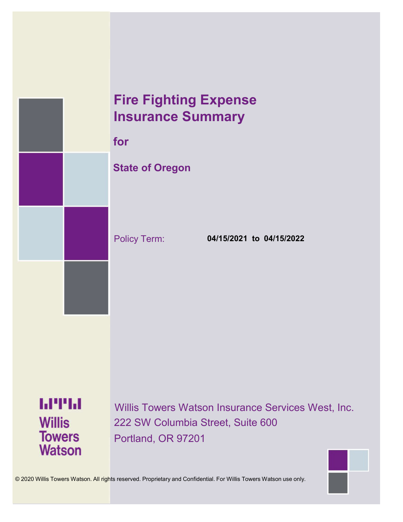# **Fire Fighting Expense Insurance Summary**

**for**

# **State of Oregon**

Policy Term: **04/15/2021 to 04/15/2022**

**MTH Willis Towers Watson** 

Willis Towers Watson Insurance Services West, Inc. 222 SW Columbia Street, Suite 600 Portland, OR 97201



© 2020 Willis Towers Watson. All rights reserved. Proprietary and Confidential. For Willis Towers Watson use only.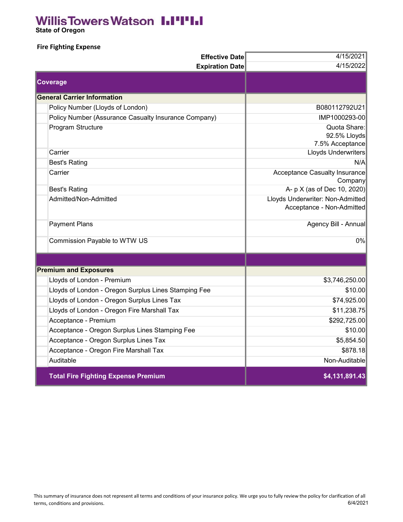# **Willis Towers Watson I.I'I'I.I**

 **State of Oregon**

#### **Fire Fighting Expense**

| <b>Effective Date</b>                                | 4/15/2021                                                     |
|------------------------------------------------------|---------------------------------------------------------------|
| <b>Expiration Date</b>                               | 4/15/2022                                                     |
| <b>Coverage</b>                                      |                                                               |
| <b>General Carrier Information</b>                   |                                                               |
| Policy Number (Lloyds of London)                     | B080112792U21                                                 |
| Policy Number (Assurance Casualty Insurance Company) | IMP1000293-00                                                 |
| Program Structure                                    | Quota Share:<br>92.5% Lloyds<br>7.5% Acceptance               |
| Carrier                                              | Lloyds Underwriters                                           |
| <b>Best's Rating</b>                                 | N/A                                                           |
| Carrier                                              | Acceptance Casualty Insurance<br>Company                      |
| <b>Best's Rating</b>                                 | A- p X (as of Dec 10, 2020)                                   |
| Admitted/Non-Admitted                                | Lloyds Underwriter: Non-Admitted<br>Acceptance - Non-Admitted |
| <b>Payment Plans</b>                                 | Agency Bill - Annual                                          |
| Commission Payable to WTW US                         | 0%                                                            |
|                                                      |                                                               |
| <b>Premium and Exposures</b>                         |                                                               |
| Lloyds of London - Premium                           | \$3,746,250.00                                                |
| Lloyds of London - Oregon Surplus Lines Stamping Fee | \$10.00                                                       |
| Lloyds of London - Oregon Surplus Lines Tax          | \$74,925.00                                                   |
| Lloyds of London - Oregon Fire Marshall Tax          | \$11,238.75                                                   |
| Acceptance - Premium                                 | \$292,725.00                                                  |
| Acceptance - Oregon Surplus Lines Stamping Fee       | \$10.00                                                       |
| Acceptance - Oregon Surplus Lines Tax                | \$5,854.50                                                    |
| Acceptance - Oregon Fire Marshall Tax                | \$878.18                                                      |
| Auditable                                            | Non-Auditable                                                 |
| <b>Total Fire Fighting Expense Premium</b>           | \$4,131,891.43                                                |